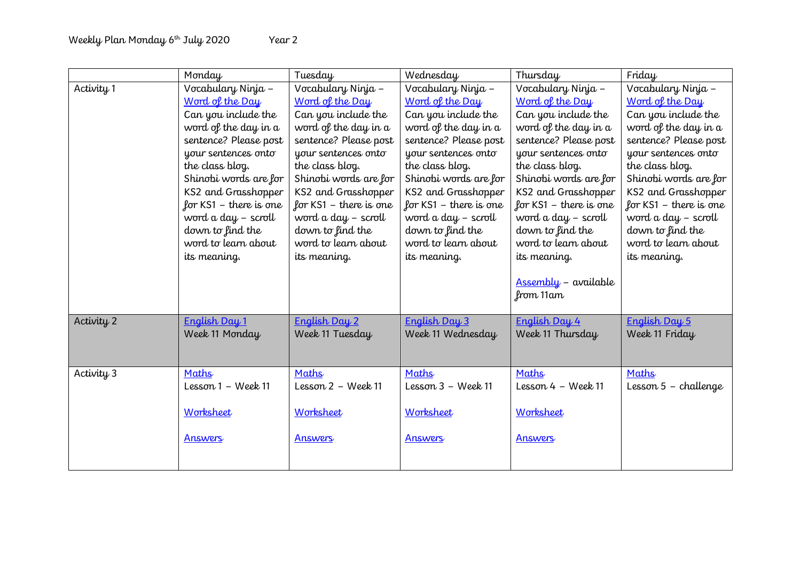|            | Monday                 | Tuesday                  | Wednesday                    | Thursday                           | Friday                   |
|------------|------------------------|--------------------------|------------------------------|------------------------------------|--------------------------|
| Activity 1 | Vocabulary Ninja -     | Vocabulary Ninja -       | Vocabulary Ninja -           | Vocabulary Ninja -                 | Vocabulary Ninja -       |
|            | Word of the Day        | Word of the Day          | Word of the Day              | Word of the Day                    | Word of the Day          |
|            | Can you include the    | Can you include the      | Can you include the          | Can you include the                | Can you include the      |
|            | word of the day in a   | word of the day in a     | word of the day in a         | word of the day in a               | word of the day in a     |
|            | sentence? Please post  | sentence? Please post    | sentence? Please post        | sentence? Please post              | sentence? Please post    |
|            | your sentences onto    | your sentences onto      | your sentences onto          | your sentences onto                | your sentences onto      |
|            | the class blog.        | the class blog.          | the class blog.              | the class blog.                    | the class blog.          |
|            | Shinobi words are for  | Shinobi words are for    | Shinobi words are for        | Shinobi words are for              | Shinobi words are for    |
|            | KS2 and Grasshopper    | KS2 and Grasshopper      | KS2 and Grasshopper          | KS2 and Grasshopper                | KS2 and Grasshopper      |
|            | for KS1 – there is one | for $KS1$ – there is one | for $KS1$ – there is one     | for $KS1$ – there is one           | for $KS1$ – there is one |
|            | word a day - scroll    | word a day - scroll      | word a day - scroll          | word a day - scroll                | word a day - scroll      |
|            | down to find the       | down to find the         | down to find the             | down to find the                   | down to find the         |
|            | word to learn about    | word to learn about      | word to learn about          | word to learn about                | word to learn about      |
|            | its meaning.           | its meaning.             | its meaning.                 | its meaning.                       | its meaning.             |
|            |                        |                          |                              |                                    |                          |
|            |                        |                          |                              | Assembly - available<br>from 11 am |                          |
|            |                        |                          |                              |                                    |                          |
| Activity 2 | English Day 1          | English Day 2            | English Day 3                | English Day 4                      | English Day 5            |
|            | Week 11 Monday         | Week 11 Tuesday          | Week 11 Wednesday            | Week 11 Thursday                   | Week 11 Friday           |
|            |                        |                          |                              |                                    |                          |
|            |                        |                          |                              |                                    |                          |
| Activity 3 | Maths                  | Maths                    | Maths                        | Maths                              | Maths                    |
|            | Lesson 1 - Week 11     | Lesson $2 -$ Week 11     | Lesson $3 - \text{Week } 11$ | Lesson $4 - \text{Week } 11$       | Lesson $5$ – challenge   |
|            |                        |                          |                              |                                    |                          |
|            | Worksheet              | Worksheet                | Worksheet                    | Worksheet                          |                          |
|            |                        |                          |                              |                                    |                          |
|            | Answers                | Answers                  | Answers                      | Answers                            |                          |
|            |                        |                          |                              |                                    |                          |
|            |                        |                          |                              |                                    |                          |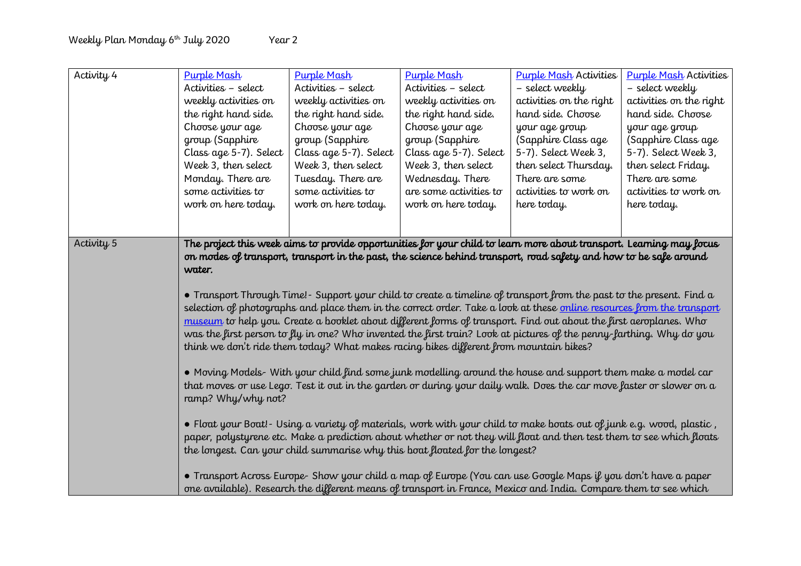| Activity 4            | <b>Purple Mash</b><br>Activities - select<br>weekly activities on<br>the right hand side.<br>Choose your age<br>group (Sapphire<br>Class age 5-7). Select<br>Week 3, then select<br>Monday. There are<br>some activities to                                                                                                                                                                                                                                                                                                                                                                                                                                                                                                                                                                                                                                                                                                                                                                                                                                                                                                                                                                                                                                                                                                                                                                                                                                                                                                                                                                                                                                                             | Purple Mash<br>Activities - select<br>weekly activities on<br>the right hand side.<br>Choose your age<br>group (Sapphire<br>Class age 5-7). Select<br>Week 3, then select<br>Tuesday. There are<br>some activities to | <b>Purple Mash</b><br>Activities - select<br>weekly activities on<br>the right hand side.<br>Choose your age<br>group (Sapphire<br>Class age 5-7). Select<br>Week 3, then select<br>Wednesday. There<br>are some activities to | <b>Purple Mash Activities</b><br>- select weekly<br>activities on the right<br>hand side. Choose<br>your age group<br>(Sapphire Class age<br>5-7). Select Week 3,<br>then select Thursday.<br>There are some<br>activities to work on | <b>Purple Mash Activities</b><br>- select weekly<br>activities on the right<br>hand side. Choose<br>your age group<br>(Sapphire Class age<br>5-7). Select Week 3,<br>then select Friday.<br>There are some<br>activities to work on |  |  |
|-----------------------|-----------------------------------------------------------------------------------------------------------------------------------------------------------------------------------------------------------------------------------------------------------------------------------------------------------------------------------------------------------------------------------------------------------------------------------------------------------------------------------------------------------------------------------------------------------------------------------------------------------------------------------------------------------------------------------------------------------------------------------------------------------------------------------------------------------------------------------------------------------------------------------------------------------------------------------------------------------------------------------------------------------------------------------------------------------------------------------------------------------------------------------------------------------------------------------------------------------------------------------------------------------------------------------------------------------------------------------------------------------------------------------------------------------------------------------------------------------------------------------------------------------------------------------------------------------------------------------------------------------------------------------------------------------------------------------------|-----------------------------------------------------------------------------------------------------------------------------------------------------------------------------------------------------------------------|--------------------------------------------------------------------------------------------------------------------------------------------------------------------------------------------------------------------------------|---------------------------------------------------------------------------------------------------------------------------------------------------------------------------------------------------------------------------------------|-------------------------------------------------------------------------------------------------------------------------------------------------------------------------------------------------------------------------------------|--|--|
|                       | work on here today.                                                                                                                                                                                                                                                                                                                                                                                                                                                                                                                                                                                                                                                                                                                                                                                                                                                                                                                                                                                                                                                                                                                                                                                                                                                                                                                                                                                                                                                                                                                                                                                                                                                                     | work on here today.                                                                                                                                                                                                   | work on here today.                                                                                                                                                                                                            | here today.                                                                                                                                                                                                                           | here today.                                                                                                                                                                                                                         |  |  |
|                       |                                                                                                                                                                                                                                                                                                                                                                                                                                                                                                                                                                                                                                                                                                                                                                                                                                                                                                                                                                                                                                                                                                                                                                                                                                                                                                                                                                                                                                                                                                                                                                                                                                                                                         |                                                                                                                                                                                                                       |                                                                                                                                                                                                                                |                                                                                                                                                                                                                                       |                                                                                                                                                                                                                                     |  |  |
| Activity <sub>5</sub> | The project this week aims to provide opportunities for your child to learn more about transport. Learning may focus<br>on modes of transport, transport in the past, the science behind transport, road safety and how to be safe around<br>water.<br>• Transport Through Time!- Support your child to create a timeline of transport from the past to the present. Find a<br>selection of photographs and place them in the correct order. Take a look at these <u>online resources from the transport</u><br>museum to help you. Create a booklet about different forms of transport. Find out about the first aeroplanes. Who<br>was the first person to fly in one? Who invented the first train? Look at pictures of the penny-farthing. Why do you<br>think we don't ride them today? What makes racing bikes different from mountain bikes?<br>• Moving Models- With your child find some junk modelling around the house and support them make a model car<br>that moves or use Lego. Test it out in the garden or during your daily walk. Does the car move faster or slower on a<br>ramp? Why/why not?<br>• Float your Boat!- Using a variety of materials, work with your child to make boats out of junk e.g. wood, plastic,<br>paper, polystyrene etc. Make a prediction about whether or not they will float and then test them to see which floats<br>the longest. Can your child summarise why this boat floated for the longest?<br>• Transport Across Europe- Show your child a map of Europe (You can use Google Maps if you don't have a paper<br>one available). Research the different means of transport in France, Mexico and India. Compare them to see which |                                                                                                                                                                                                                       |                                                                                                                                                                                                                                |                                                                                                                                                                                                                                       |                                                                                                                                                                                                                                     |  |  |